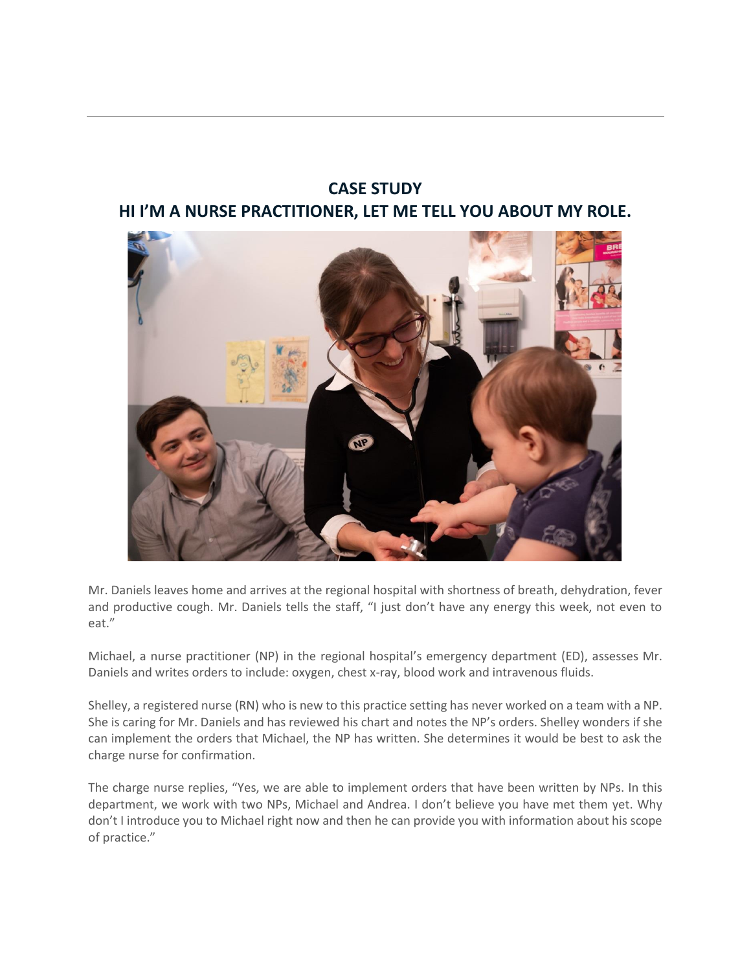## **CASE STUDY HI I'M A NURSE PRACTITIONER, LET ME TELL YOU ABOUT MY ROLE.**



Mr. Daniels leaves home and arrives at the regional hospital with shortness of breath, dehydration, fever and productive cough. Mr. Daniels tells the staff, "I just don't have any energy this week, not even to eat."

Michael, a nurse practitioner (NP) in the regional hospital's emergency department (ED), assesses Mr. Daniels and writes orders to include: oxygen, chest x-ray, blood work and intravenous fluids.

Shelley, a registered nurse (RN) who is new to this practice setting has never worked on a team with a NP. She is caring for Mr. Daniels and has reviewed his chart and notes the NP's orders. Shelley wonders if she can implement the orders that Michael, the NP has written. She determines it would be best to ask the charge nurse for confirmation.

The charge nurse replies, "Yes, we are able to implement orders that have been written by NPs. In this department, we work with two NPs, Michael and Andrea. I don't believe you have met them yet. Why don't I introduce you to Michael right now and then he can provide you with information about his scope of practice."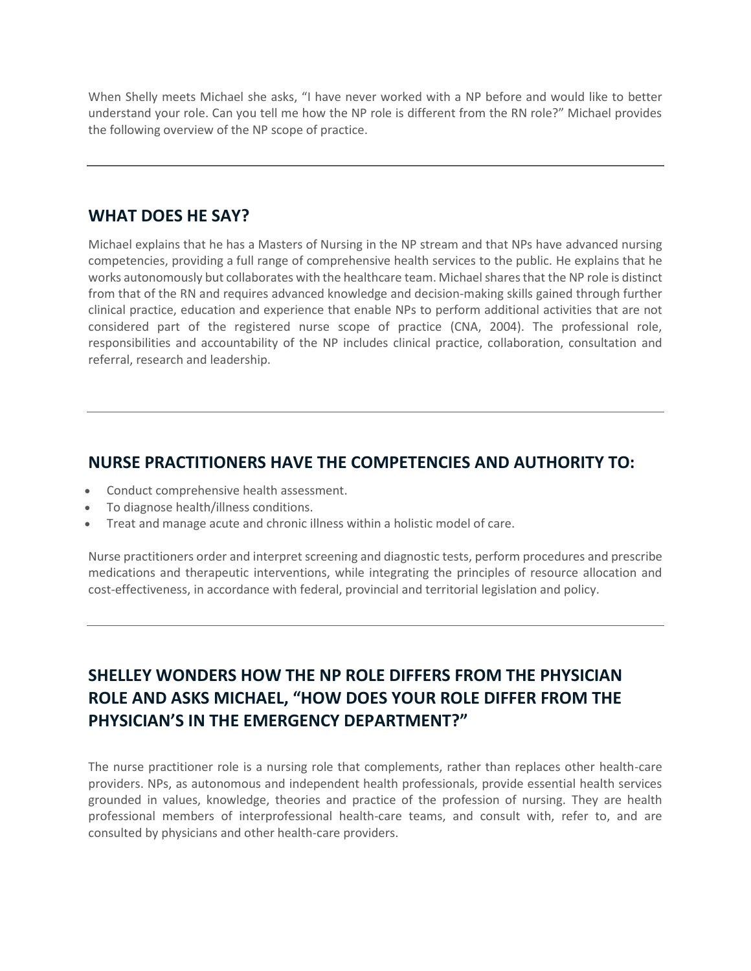When Shelly meets Michael she asks, "I have never worked with a NP before and would like to better understand your role. Can you tell me how the NP role is different from the RN role?" Michael provides the following overview of the NP scope of practice.

#### **WHAT DOES HE SAY?**

Michael explains that he has a Masters of Nursing in the NP stream and that NPs have advanced nursing competencies, providing a full range of comprehensive health services to the public. He explains that he works autonomously but collaborates with the healthcare team. Michael shares that the NP role is distinct from that of the RN and requires advanced knowledge and decision-making skills gained through further clinical practice, education and experience that enable NPs to perform additional activities that are not considered part of the registered nurse scope of practice (CNA, 2004). The professional role, responsibilities and accountability of the NP includes clinical practice, collaboration, consultation and referral, research and leadership.

#### **NURSE PRACTITIONERS HAVE THE COMPETENCIES AND AUTHORITY TO:**

- Conduct comprehensive health assessment.
- To diagnose health/illness conditions.
- Treat and manage acute and chronic illness within a holistic model of care.

Nurse practitioners order and interpret screening and diagnostic tests, perform procedures and prescribe medications and therapeutic interventions, while integrating the principles of resource allocation and cost-effectiveness, in accordance with federal, provincial and territorial legislation and policy.

# **SHELLEY WONDERS HOW THE NP ROLE DIFFERS FROM THE PHYSICIAN ROLE AND ASKS MICHAEL, "HOW DOES YOUR ROLE DIFFER FROM THE PHYSICIAN'S IN THE EMERGENCY DEPARTMENT?"**

The nurse practitioner role is a nursing role that complements, rather than replaces other health-care providers. NPs, as autonomous and independent health professionals, provide essential health services grounded in values, knowledge, theories and practice of the profession of nursing. They are health professional members of interprofessional health-care teams, and consult with, refer to, and are consulted by physicians and other health-care providers.